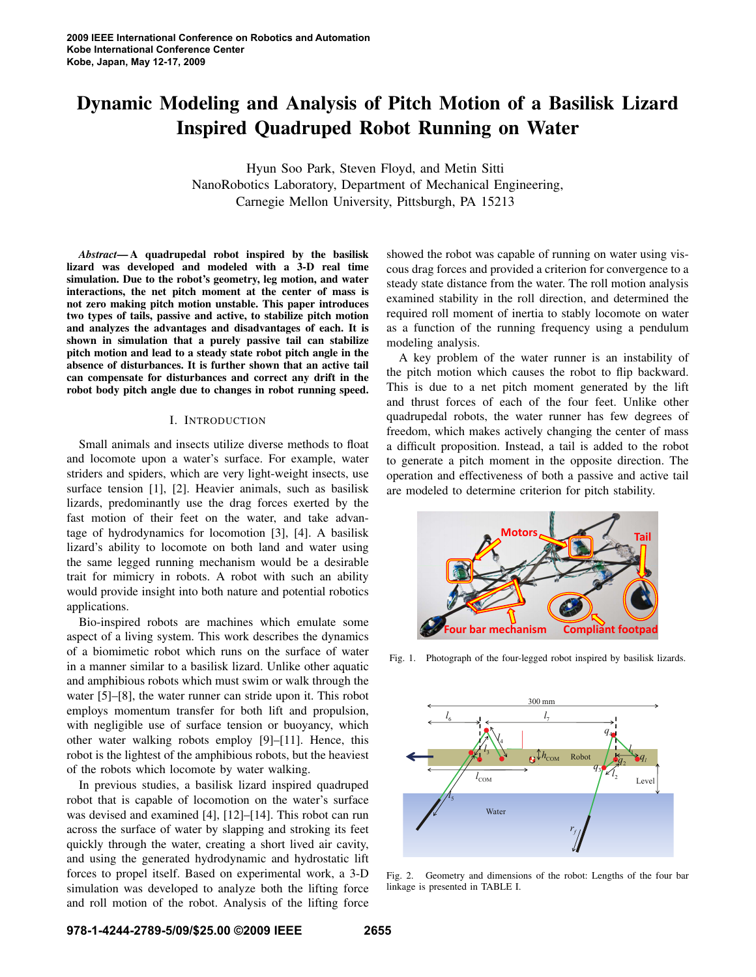# Dynamic Modeling and Analysis of Pitch Motion of a Basilisk Lizard Inspired Quadruped Robot Running on Water

Hyun Soo Park, Steven Floyd, and Metin Sitti NanoRobotics Laboratory, Department of Mechanical Engineering, Carnegie Mellon University, Pittsburgh, PA 15213

*Abstract*— A quadrupedal robot inspired by the basilisk lizard was developed and modeled with a 3-D real time simulation. Due to the robot's geometry, leg motion, and water interactions, the net pitch moment at the center of mass is not zero making pitch motion unstable. This paper introduces two types of tails, passive and active, to stabilize pitch motion and analyzes the advantages and disadvantages of each. It is shown in simulation that a purely passive tail can stabilize pitch motion and lead to a steady state robot pitch angle in the absence of disturbances. It is further shown that an active tail can compensate for disturbances and correct any drift in the robot body pitch angle due to changes in robot running speed.

## I. INTRODUCTION

Small animals and insects utilize diverse methods to float and locomote upon a water's surface. For example, water striders and spiders, which are very light-weight insects, use surface tension [1], [2]. Heavier animals, such as basilisk lizards, predominantly use the drag forces exerted by the fast motion of their feet on the water, and take advantage of hydrodynamics for locomotion [3], [4]. A basilisk lizard's ability to locomote on both land and water using the same legged running mechanism would be a desirable trait for mimicry in robots. A robot with such an ability would provide insight into both nature and potential robotics applications.

Bio-inspired robots are machines which emulate some aspect of a living system. This work describes the dynamics of a biomimetic robot which runs on the surface of water in a manner similar to a basilisk lizard. Unlike other aquatic and amphibious robots which must swim or walk through the water [5]–[8], the water runner can stride upon it. This robot employs momentum transfer for both lift and propulsion, with negligible use of surface tension or buoyancy, which other water walking robots employ [9]–[11]. Hence, this robot is the lightest of the amphibious robots, but the heaviest of the robots which locomote by water walking.

In previous studies, a basilisk lizard inspired quadruped robot that is capable of locomotion on the water's surface was devised and examined [4], [12]–[14]. This robot can run across the surface of water by slapping and stroking its feet quickly through the water, creating a short lived air cavity, and using the generated hydrodynamic and hydrostatic lift forces to propel itself. Based on experimental work, a 3-D simulation was developed to analyze both the lifting force and roll motion of the robot. Analysis of the lifting force

showed the robot was capable of running on water using viscous drag forces and provided a criterion for convergence to a steady state distance from the water. The roll motion analysis examined stability in the roll direction, and determined the required roll moment of inertia to stably locomote on water as a function of the running frequency using a pendulum modeling analysis.

A key problem of the water runner is an instability of the pitch motion which causes the robot to flip backward. This is due to a net pitch moment generated by the lift and thrust forces of each of the four feet. Unlike other quadrupedal robots, the water runner has few degrees of freedom, which makes actively changing the center of mass a difficult proposition. Instead, a tail is added to the robot to generate a pitch moment in the opposite direction. The operation and effectiveness of both a passive and active tail are modeled to determine criterion for pitch stability.



Fig. 1. Photograph of the four-legged robot inspired by basilisk lizards.



Fig. 2. Geometry and dimensions of the robot: Lengths of the four bar linkage is presented in TABLE I.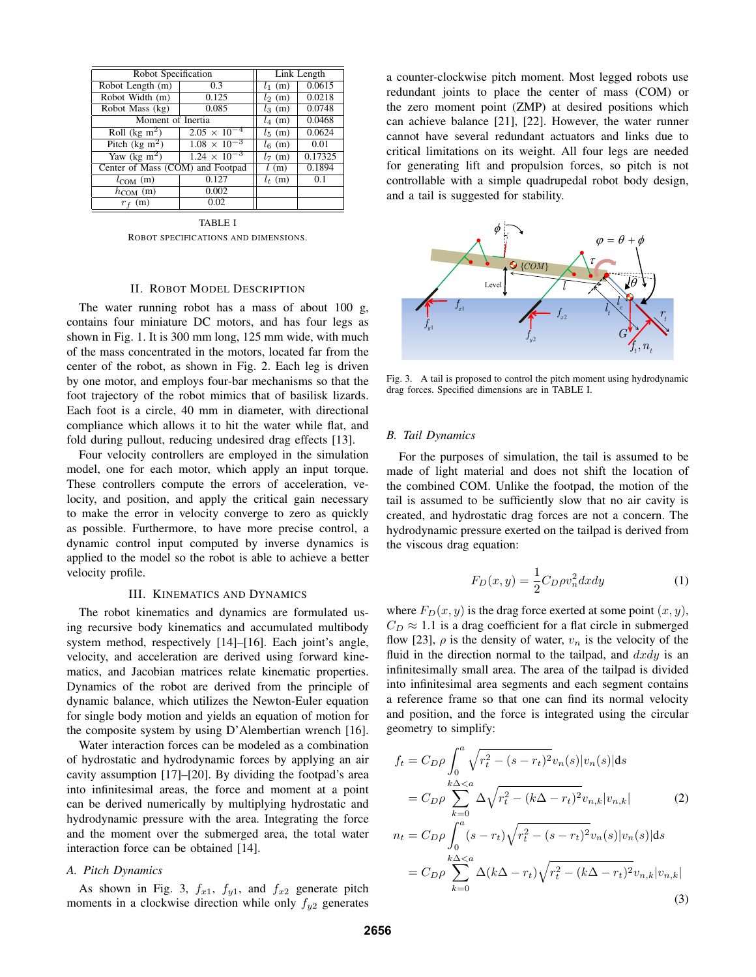| Robot Specification              |                       | Link Length        |         |
|----------------------------------|-----------------------|--------------------|---------|
| Robot Length (m)                 | 0.3                   | $l_1$ (m)          | 0.0615  |
| Robot Width (m)                  | 0.125                 | $l_2$ (m)          | 0.0218  |
| Robot Mass (kg)                  | 0.085                 | $l_3$ (m)          | 0.0748  |
| Moment of Inertia                |                       | $l_4$ (m)          | 0.0468  |
| Roll (kg $m^2$ )                 | $2.05 \times 10^{-4}$ | $l_5$ (m)          | 0.0624  |
| Pitch (kg $m^2$ )                | $1.08 \times 10^{-3}$ | $l_6$ (m)          | 0.01    |
| Yaw (kg $m^2$ )                  | $1.24 \times 10^{-3}$ | $l_7$ (m)          | 0.17325 |
| Center of Mass (COM) and Footpad |                       | $\overline{l}$ (m) | 0.1894  |
| $l_{COM}$ (m)                    | 0.127                 | $l_t$ (m)          | 0.1     |
| $h_{COM}$ (m)                    | 0.002                 |                    |         |
| (m)<br>$r_f$                     | 0.02                  |                    |         |

TABLE I ROBOT SPECIFICATIONS AND DIMENSIONS.

#### II. ROBOT MODEL DESCRIPTION

The water running robot has a mass of about 100 g, contains four miniature DC motors, and has four legs as shown in Fig. 1. It is 300 mm long, 125 mm wide, with much of the mass concentrated in the motors, located far from the center of the robot, as shown in Fig. 2. Each leg is driven by one motor, and employs four-bar mechanisms so that the foot trajectory of the robot mimics that of basilisk lizards. Each foot is a circle, 40 mm in diameter, with directional compliance which allows it to hit the water while flat, and fold during pullout, reducing undesired drag effects [13].

Four velocity controllers are employed in the simulation model, one for each motor, which apply an input torque. These controllers compute the errors of acceleration, velocity, and position, and apply the critical gain necessary to make the error in velocity converge to zero as quickly as possible. Furthermore, to have more precise control, a dynamic control input computed by inverse dynamics is applied to the model so the robot is able to achieve a better velocity profile.

#### III. KINEMATICS AND DYNAMICS

The robot kinematics and dynamics are formulated using recursive body kinematics and accumulated multibody system method, respectively [14]–[16]. Each joint's angle, velocity, and acceleration are derived using forward kinematics, and Jacobian matrices relate kinematic properties. Dynamics of the robot are derived from the principle of dynamic balance, which utilizes the Newton-Euler equation for single body motion and yields an equation of motion for the composite system by using D'Alembertian wrench [16].

Water interaction forces can be modeled as a combination of hydrostatic and hydrodynamic forces by applying an air cavity assumption [17]–[20]. By dividing the footpad's area into infinitesimal areas, the force and moment at a point can be derived numerically by multiplying hydrostatic and hydrodynamic pressure with the area. Integrating the force and the moment over the submerged area, the total water interaction force can be obtained [14].

## *A. Pitch Dynamics*

As shown in Fig. 3,  $f_{x1}$ ,  $f_{y1}$ , and  $f_{x2}$  generate pitch moments in a clockwise direction while only  $f_{y2}$  generates a counter-clockwise pitch moment. Most legged robots use redundant joints to place the center of mass (COM) or the zero moment point (ZMP) at desired positions which can achieve balance [21], [22]. However, the water runner cannot have several redundant actuators and links due to critical limitations on its weight. All four legs are needed for generating lift and propulsion forces, so pitch is not controllable with a simple quadrupedal robot body design, and a tail is suggested for stability.



Fig. 3. A tail is proposed to control the pitch moment using hydrodynamic drag forces. Specified dimensions are in TABLE I.

#### *B. Tail Dynamics*

For the purposes of simulation, the tail is assumed to be made of light material and does not shift the location of the combined COM. Unlike the footpad, the motion of the tail is assumed to be sufficiently slow that no air cavity is created, and hydrostatic drag forces are not a concern. The hydrodynamic pressure exerted on the tailpad is derived from the viscous drag equation:

$$
F_D(x,y) = \frac{1}{2}C_D \rho v_n^2 dx dy \tag{1}
$$

where  $F_D(x, y)$  is the drag force exerted at some point  $(x, y)$ ,  $C_D \approx 1.1$  is a drag coefficient for a flat circle in submerged flow [23],  $\rho$  is the density of water,  $v_n$  is the velocity of the fluid in the direction normal to the tailpad, and  $dxdy$  is an infinitesimally small area. The area of the tailpad is divided into infinitesimal area segments and each segment contains a reference frame so that one can find its normal velocity and position, and the force is integrated using the circular geometry to simplify:

$$
f_t = C_D \rho \int_0^a \sqrt{r_t^2 - (s - r_t)^2} v_n(s) |v_n(s)| ds
$$
  
\n
$$
= C_D \rho \sum_{k=0}^{k\Delta < a} \Delta \sqrt{r_t^2 - (k\Delta - r_t)^2} v_{n,k} |v_{n,k}| \tag{2}
$$
  
\n
$$
n_t = C_D \rho \int_0^a (s - r_t) \sqrt{r_t^2 - (s - r_t)^2} v_n(s) |v_n(s)| ds
$$
  
\n
$$
k\Delta < a
$$

$$
= C_D \rho \sum_{k=0}^{k\Delta < a} \Delta(k\Delta - r_t) \sqrt{r_t^2 - (k\Delta - r_t)^2} v_{n,k} |v_{n,k}| \tag{3}
$$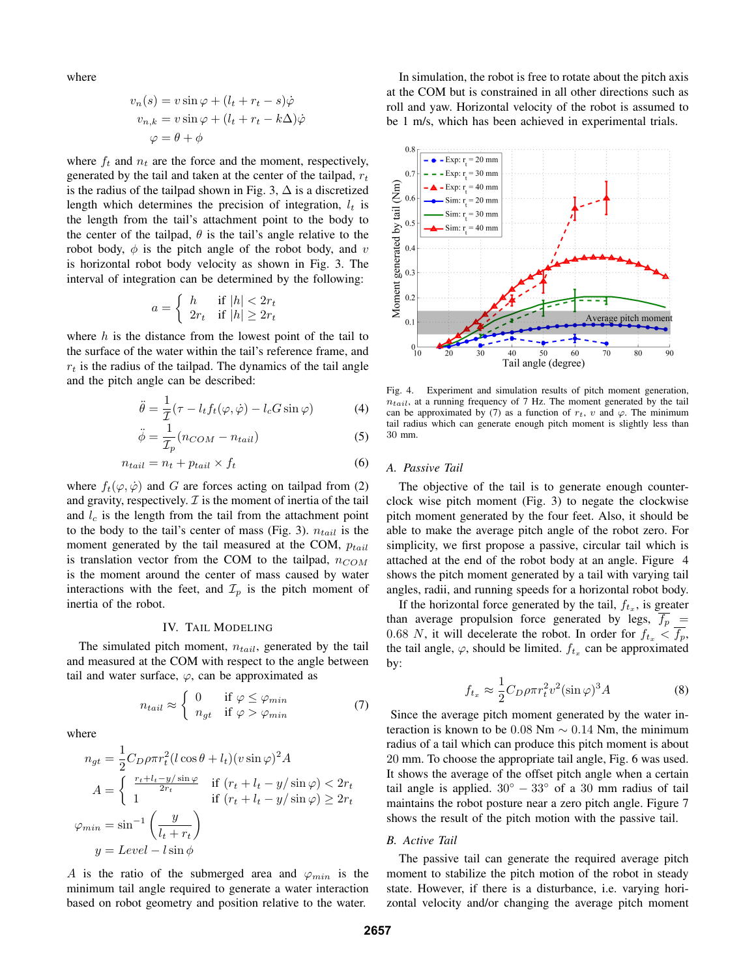where

$$
v_n(s) = v \sin \varphi + (l_t + r_t - s)\dot{\varphi}
$$
  

$$
v_{n,k} = v \sin \varphi + (l_t + r_t - k\Delta)\dot{\varphi}
$$
  

$$
\varphi = \theta + \phi
$$

where  $f_t$  and  $n_t$  are the force and the moment, respectively, generated by the tail and taken at the center of the tailpad,  $r_t$ is the radius of the tailpad shown in Fig. 3,  $\Delta$  is a discretized length which determines the precision of integration,  $l_t$  is the length from the tail's attachment point to the body to the center of the tailpad,  $\theta$  is the tail's angle relative to the robot body,  $\phi$  is the pitch angle of the robot body, and v is horizontal robot body velocity as shown in Fig. 3. The interval of integration can be determined by the following:

$$
a = \begin{cases} h & \text{if } |h| < 2r_t \\ 2r_t & \text{if } |h| \ge 2r_t \end{cases}
$$

where  $h$  is the distance from the lowest point of the tail to the surface of the water within the tail's reference frame, and  $r<sub>t</sub>$  is the radius of the tailpad. The dynamics of the tail angle and the pitch angle can be described:

$$
\ddot{\theta} = \frac{1}{\mathcal{I}} (\tau - l_t f_t(\varphi, \dot{\varphi}) - l_c G \sin \varphi)
$$
 (4)

$$
\ddot{\phi} = \frac{1}{\mathcal{I}_p} (n_{COM} - n_{tail}) \tag{5}
$$

$$
n_{tail} = n_t + p_{tail} \times f_t \tag{6}
$$

where  $f_t(\varphi, \dot{\varphi})$  and G are forces acting on tailpad from (2) and gravity, respectively.  $\mathcal I$  is the moment of inertia of the tail and  $l_c$  is the length from the tail from the attachment point to the body to the tail's center of mass (Fig. 3).  $n_{tail}$  is the moment generated by the tail measured at the COM,  $p_{tail}$ is translation vector from the COM to the tailpad,  $n_{COM}$ is the moment around the center of mass caused by water interactions with the feet, and  $\mathcal{I}_p$  is the pitch moment of inertia of the robot.

#### IV. TAIL MODELING

The simulated pitch moment,  $n_{tail}$ , generated by the tail and measured at the COM with respect to the angle between tail and water surface,  $\varphi$ , can be approximated as

$$
n_{tail} \approx \begin{cases} 0 & \text{if } \varphi \le \varphi_{min} \\ n_{gt} & \text{if } \varphi > \varphi_{min} \end{cases} \tag{7}
$$

where

$$
n_{gt} = \frac{1}{2}C_D\rho\pi r_t^2 (l\cos\theta + l_t)(v\sin\varphi)^2 A
$$
  
\n
$$
A = \begin{cases} \frac{r_t + l_t - y/\sin\varphi}{2r_t} & \text{if } (r_t + l_t - y/\sin\varphi) < 2r_t \\ 1 & \text{if } (r_t + l_t - y/\sin\varphi) \ge 2r_t \end{cases}
$$
  
\n
$$
\varphi_{min} = \sin^{-1}\left(\frac{y}{l_t + r_t}\right)
$$
  
\n
$$
y = Level - l\sin\varphi
$$

A is the ratio of the submerged area and  $\varphi_{min}$  is the minimum tail angle required to generate a water interaction based on robot geometry and position relative to the water.

In simulation, the robot is free to rotate about the pitch axis at the COM but is constrained in all other directions such as roll and yaw. Horizontal velocity of the robot is assumed to be 1 m/s, which has been achieved in experimental trials.



Fig. 4. Experiment and simulation results of pitch moment generation,  $n_{tail}$ , at a running frequency of 7 Hz. The moment generated by the tail can be approximated by (7) as a function of  $r_t$ , v and  $\varphi$ . The minimum tail radius which can generate enough pitch moment is slightly less than 30 mm.

#### *A. Passive Tail*

The objective of the tail is to generate enough counterclock wise pitch moment (Fig. 3) to negate the clockwise pitch moment generated by the four feet. Also, it should be able to make the average pitch angle of the robot zero. For simplicity, we first propose a passive, circular tail which is attached at the end of the robot body at an angle. Figure 4 shows the pitch moment generated by a tail with varying tail angles, radii, and running speeds for a horizontal robot body.

If the horizontal force generated by the tail,  $f_{t_x}$ , is greater than average propulsion force generated by legs,  $f_p =$ 0.68 N, it will decelerate the robot. In order for  $f_{t_x} < \overline{f_p}$ , the tail angle,  $\varphi$ , should be limited.  $f_{t_x}$  can be approximated by:

$$
f_{t_x} \approx \frac{1}{2} C_D \rho \pi r_t^2 v^2 (\sin \varphi)^3 A \tag{8}
$$

Since the average pitch moment generated by the water interaction is known to be 0.08 Nm  $\sim$  0.14 Nm, the minimum radius of a tail which can produce this pitch moment is about 20 mm. To choose the appropriate tail angle, Fig. 6 was used. It shows the average of the offset pitch angle when a certain tail angle is applied.  $30° - 33°$  of a 30 mm radius of tail maintains the robot posture near a zero pitch angle. Figure 7 shows the result of the pitch motion with the passive tail.

#### *B. Active Tail*

The passive tail can generate the required average pitch moment to stabilize the pitch motion of the robot in steady state. However, if there is a disturbance, i.e. varying horizontal velocity and/or changing the average pitch moment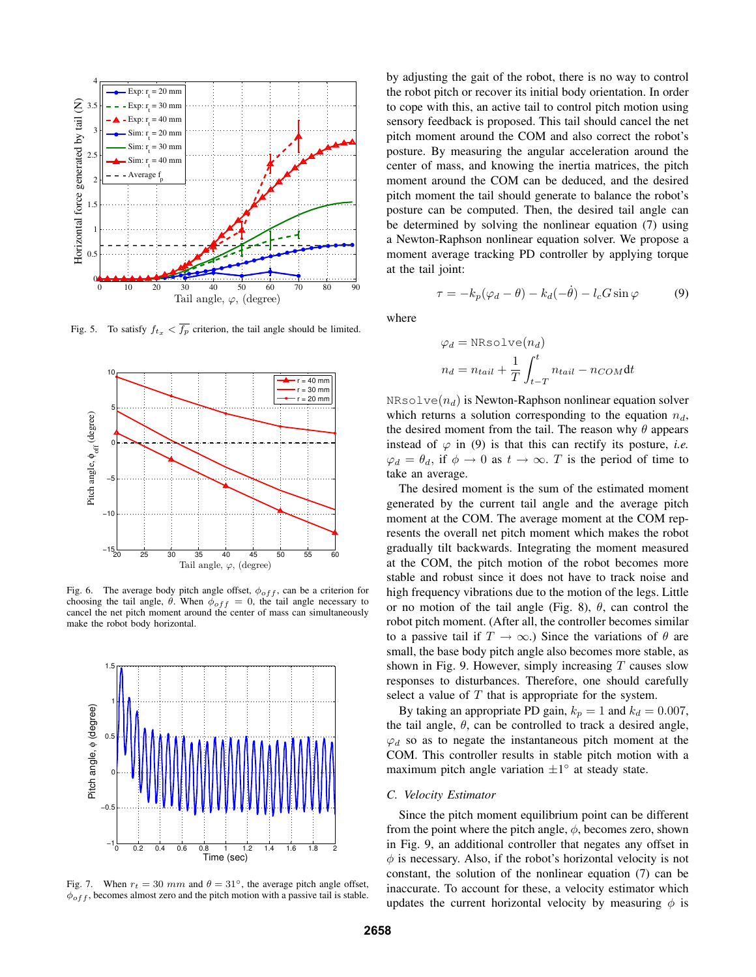

Fig. 5. To satisfy  $f_{t_x} < \overline{f_p}$  criterion, the tail angle should be limited.



Fig. 6. The average body pitch angle offset,  $\phi_{off}$ , can be a criterion for choosing the tail angle,  $\dot{\theta}$ . When  $\dot{\phi}_{off} = 0$ , the tail angle necessary to cancel the net pitch moment around the center of mass can simultaneously make the robot body horizontal.



Fig. 7. When  $r_t = 30$  mm and  $\theta = 31^\circ$ , the average pitch angle offset,  $\phi_{off}$ , becomes almost zero and the pitch motion with a passive tail is stable.

by adjusting the gait of the robot, there is no way to control the robot pitch or recover its initial body orientation. In order to cope with this, an active tail to control pitch motion using sensory feedback is proposed. This tail should cancel the net pitch moment around the COM and also correct the robot's posture. By measuring the angular acceleration around the center of mass, and knowing the inertia matrices, the pitch moment around the COM can be deduced, and the desired pitch moment the tail should generate to balance the robot's posture can be computed. Then, the desired tail angle can be determined by solving the nonlinear equation (7) using a Newton-Raphson nonlinear equation solver. We propose a moment average tracking PD controller by applying torque at the tail joint:

$$
\tau = -k_p(\varphi_d - \theta) - k_d(-\dot{\theta}) - l_c G \sin \varphi \tag{9}
$$

where

$$
\varphi_d = \text{NRsolve}(n_d)
$$

$$
n_d = n_{tail} + \frac{1}{T} \int_{t-T}^t n_{tail} - n_{COM} dt
$$

 $NRsolve(n_d)$  is Newton-Raphson nonlinear equation solver which returns a solution corresponding to the equation  $n_d$ , the desired moment from the tail. The reason why  $\theta$  appears instead of  $\varphi$  in (9) is that this can rectify its posture, *i.e.*  $\varphi_d = \theta_d$ , if  $\phi \to 0$  as  $t \to \infty$ . T is the period of time to take an average.

The desired moment is the sum of the estimated moment generated by the current tail angle and the average pitch moment at the COM. The average moment at the COM represents the overall net pitch moment which makes the robot gradually tilt backwards. Integrating the moment measured at the COM, the pitch motion of the robot becomes more stable and robust since it does not have to track noise and high frequency vibrations due to the motion of the legs. Little or no motion of the tail angle (Fig. 8),  $\theta$ , can control the robot pitch moment. (After all, the controller becomes similar to a passive tail if  $T \to \infty$ .) Since the variations of  $\theta$  are small, the base body pitch angle also becomes more stable, as shown in Fig. 9. However, simply increasing  $T$  causes slow responses to disturbances. Therefore, one should carefully select a value of  $T$  that is appropriate for the system.

By taking an appropriate PD gain,  $k_p = 1$  and  $k_d = 0.007$ , the tail angle,  $\theta$ , can be controlled to track a desired angle,  $\varphi_d$  so as to negate the instantaneous pitch moment at the COM. This controller results in stable pitch motion with a maximum pitch angle variation  $\pm 1^{\circ}$  at steady state.

# *C. Velocity Estimator*

Since the pitch moment equilibrium point can be different from the point where the pitch angle,  $\phi$ , becomes zero, shown in Fig. 9, an additional controller that negates any offset in  $\phi$  is necessary. Also, if the robot's horizontal velocity is not constant, the solution of the nonlinear equation (7) can be inaccurate. To account for these, a velocity estimator which updates the current horizontal velocity by measuring  $\phi$  is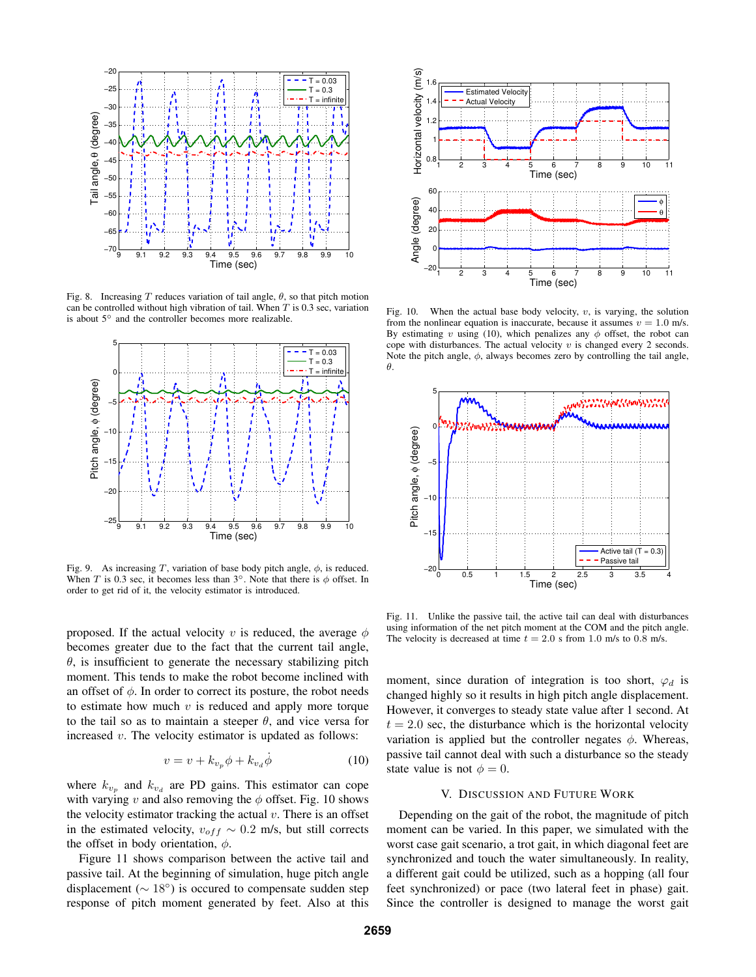

Fig. 8. Increasing T reduces variation of tail angle,  $\theta$ , so that pitch motion can be controlled without high vibration of tail. When  $T$  is 0.3 sec, variation is about 5° and the controller becomes more realizable.



Fig. 9. As increasing T, variation of base body pitch angle,  $\phi$ , is reduced. When T is 0.3 sec, it becomes less than  $3^\circ$ . Note that there is  $\phi$  offset. In order to get rid of it, the velocity estimator is introduced.

proposed. If the actual velocity v is reduced, the average  $\phi$ becomes greater due to the fact that the current tail angle,  $\theta$ , is insufficient to generate the necessary stabilizing pitch moment. This tends to make the robot become inclined with an offset of  $\phi$ . In order to correct its posture, the robot needs to estimate how much  $v$  is reduced and apply more torque to the tail so as to maintain a steeper  $\theta$ , and vice versa for increased v. The velocity estimator is updated as follows:

$$
v = v + k_{v_p} \phi + k_{v_d} \dot{\phi} \tag{10}
$$

where  $k_{v_p}$  and  $k_{v_d}$  are PD gains. This estimator can cope with varying v and also removing the  $\phi$  offset. Fig. 10 shows the velocity estimator tracking the actual  $v$ . There is an offset in the estimated velocity,  $v_{off} \sim 0.2$  m/s, but still corrects the offset in body orientation,  $\phi$ .

Figure 11 shows comparison between the active tail and passive tail. At the beginning of simulation, huge pitch angle displacement ( $\sim 18°$ ) is occured to compensate sudden step response of pitch moment generated by feet. Also at this



Fig. 10. When the actual base body velocity,  $v$ , is varying, the solution from the nonlinear equation is inaccurate, because it assumes  $v = 1.0$  m/s. By estimating v using (10), which penalizes any  $\phi$  offset, the robot can cope with disturbances. The actual velocity  $v$  is changed every 2 seconds. Note the pitch angle,  $\phi$ , always becomes zero by controlling the tail angle, θ.



Fig. 11. Unlike the passive tail, the active tail can deal with disturbances using information of the net pitch moment at the COM and the pitch angle. The velocity is decreased at time  $t = 2.0$  s from 1.0 m/s to 0.8 m/s.

moment, since duration of integration is too short,  $\varphi_d$  is changed highly so it results in high pitch angle displacement. However, it converges to steady state value after 1 second. At  $t = 2.0$  sec, the disturbance which is the horizontal velocity variation is applied but the controller negates  $\phi$ . Whereas, passive tail cannot deal with such a disturbance so the steady state value is not  $\phi = 0$ .

## V. DISCUSSION AND FUTURE WORK

Depending on the gait of the robot, the magnitude of pitch moment can be varied. In this paper, we simulated with the worst case gait scenario, a trot gait, in which diagonal feet are synchronized and touch the water simultaneously. In reality, a different gait could be utilized, such as a hopping (all four feet synchronized) or pace (two lateral feet in phase) gait. Since the controller is designed to manage the worst gait